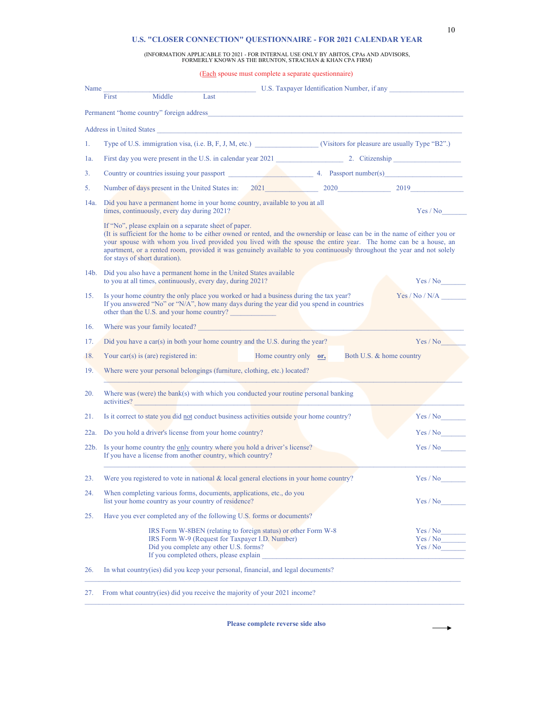## 10

→

## **U.S. "CLOSER CONNECTION" QUESTIONNAIRE - FOR 2021 CALENDAR YEAR**

## (INFORMATION APPLICABLE TO 2021 - FOR INTERNAL USE ONLY BY ABITOS, CPAs AND ADVISORS, FORMERLY KNOWN AS THE BRUNTON, STRACHAN & KHAN CPA FIRM)

|         |                                                                                                                                 | (Each spouse must complete a separate questionnaire)                                                                                                                                                                                                                                                                                                                      |                                             |                                  |
|---------|---------------------------------------------------------------------------------------------------------------------------------|---------------------------------------------------------------------------------------------------------------------------------------------------------------------------------------------------------------------------------------------------------------------------------------------------------------------------------------------------------------------------|---------------------------------------------|----------------------------------|
| Name    | Middle<br>First                                                                                                                 | Last                                                                                                                                                                                                                                                                                                                                                                      | U.S. Taxpayer Identification Number, if any |                                  |
|         |                                                                                                                                 |                                                                                                                                                                                                                                                                                                                                                                           |                                             |                                  |
|         | Permanent "home country" foreign address                                                                                        |                                                                                                                                                                                                                                                                                                                                                                           |                                             |                                  |
|         |                                                                                                                                 | Address in United States                                                                                                                                                                                                                                                                                                                                                  |                                             |                                  |
| 1.      |                                                                                                                                 | Type of U.S. immigration visa, (i.e. B, F, J, M, etc.) (Visitors for pleasure are usually Type "B2".)                                                                                                                                                                                                                                                                     |                                             |                                  |
| la.     |                                                                                                                                 |                                                                                                                                                                                                                                                                                                                                                                           |                                             |                                  |
| 3.      |                                                                                                                                 | Country or countries issuing your passport and the set of the set of the Passport number(s) Country or countries issuing your passport                                                                                                                                                                                                                                    |                                             |                                  |
| 5.      |                                                                                                                                 | Number of days present in the United States in: 2021 2020 2020 2019 2019                                                                                                                                                                                                                                                                                                  |                                             |                                  |
| 14a.    | times, continuously, every day during 2021?                                                                                     | Did you have a permanent home in your home country, available to you at all                                                                                                                                                                                                                                                                                               |                                             | Yes / No                         |
|         | If "No", please explain on a separate sheet of paper.<br>for stays of short duration).                                          | (It is sufficient for the home to be either owned or rented, and the ownership or lease can be in the name of either you or<br>your spouse with whom you lived provided you lived with the spouse the entire year. The home can be a house, an<br>apartment, or a rented room, provided it was genuinely available to you continuously throughout the year and not solely |                                             |                                  |
| 14b.    | Did you also have a permanent home in the United States available<br>to you at all times, continuously, every day, during 2021? |                                                                                                                                                                                                                                                                                                                                                                           |                                             | Yes / No                         |
| 15.     | other than the U.S. and your home country?                                                                                      | Is your home country the only place you worked or had a business during the tax year?<br>If you answered "No" or "N/A", how many days during the year did you spend in countries                                                                                                                                                                                          |                                             | Yes / No / N/A                   |
| 16.     |                                                                                                                                 | Where was your family located? New York Change and Separate Separate Separate Separate Separate Separate Separate Separate Separate Separate Separate Separate Separate Separate Separate Separate Separate Separate Separate                                                                                                                                             |                                             |                                  |
| 17.     |                                                                                                                                 | Did you have a car(s) in both your home country and the U.S. during the year?                                                                                                                                                                                                                                                                                             |                                             | Yes / No                         |
| 18.     | Your car(s) is (are) registered in:                                                                                             | Home country only or,                                                                                                                                                                                                                                                                                                                                                     | Both U.S. & home country                    |                                  |
| 19.     | Where were your personal belongings (furniture, clothing, etc.) located?                                                        |                                                                                                                                                                                                                                                                                                                                                                           |                                             |                                  |
| 20.     |                                                                                                                                 | Where was (were) the bank(s) with which you conducted your routine personal banking<br>activities?                                                                                                                                                                                                                                                                        |                                             |                                  |
| 21.     |                                                                                                                                 | Is it correct to state you did not conduct business activities outside your home country?                                                                                                                                                                                                                                                                                 |                                             | Yes / No                         |
| 22a.    | Do you hold a driver's license from your home country?                                                                          |                                                                                                                                                                                                                                                                                                                                                                           |                                             | Yes / No                         |
| $22b$ . | If you have a license from another country, which country?                                                                      | Is your home country the only country where you hold a driver's license?                                                                                                                                                                                                                                                                                                  |                                             | Yes / No                         |
| 23.     |                                                                                                                                 | Were you registered to vote in national $\&$ local general elections in your home country?                                                                                                                                                                                                                                                                                |                                             | Yes / No                         |
| 24.     | When completing various forms, documents, applications, etc., do you<br>list your home country as your country of residence?    |                                                                                                                                                                                                                                                                                                                                                                           |                                             | Yes / No                         |
| 25.     |                                                                                                                                 | Have you ever completed any of the following U.S. forms or documents?                                                                                                                                                                                                                                                                                                     |                                             |                                  |
|         | Did you complete any other U.S. forms?<br>If you completed others, please explain                                               | IRS Form W-8BEN (relating to foreign status) or other Form W-8<br>IRS Form W-9 (Request for Taxpayer I.D. Number)                                                                                                                                                                                                                                                         |                                             | Yes / No<br>Yes / No<br>Yes / No |
| 26.     |                                                                                                                                 | In what country(ies) did you keep your personal, financial, and legal documents?                                                                                                                                                                                                                                                                                          |                                             |                                  |
| 27.     |                                                                                                                                 | From what country(ies) did you receive the majority of your 2021 income?                                                                                                                                                                                                                                                                                                  |                                             |                                  |

**Please complete reverse side also**